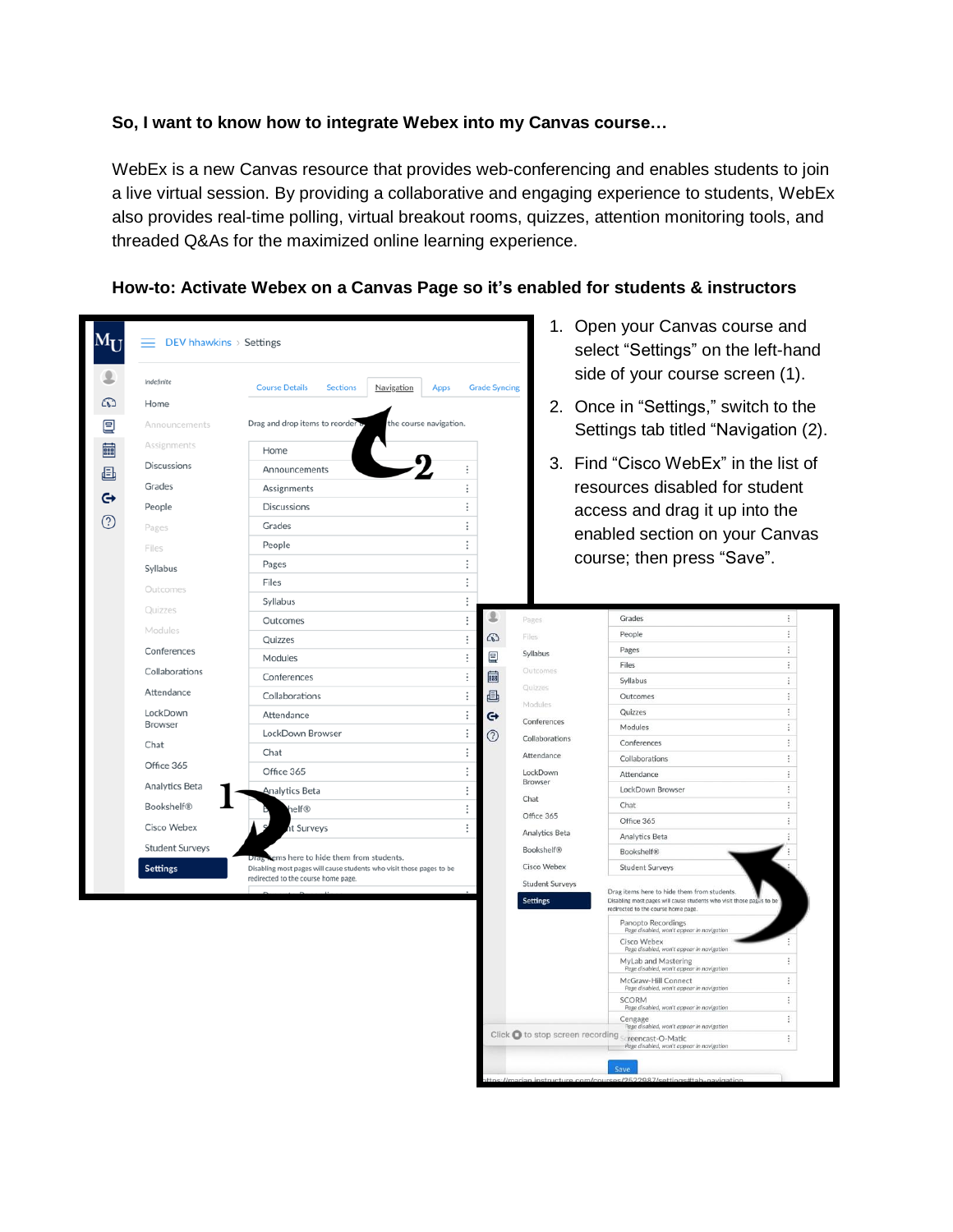# **So, I want to know how to integrate Webex into my Canvas course…**

WebEx is a new Canvas resource that provides web-conferencing and enables students to join a live virtual session. By providing a collaborative and engaging experience to students, WebEx also provides real-time polling, virtual breakout rooms, quizzes, attention monitoring tools, and threaded Q&As for the maximized online learning experience.

| $\mathbf{M}_{\mathbf{I}}$ | DEV hhawkins > Settings                                                                                                                                                                                |                                                                                                                                                                                                                                                                                                            |                                                                                                                                       |                                      |                                                                                                                                                                                                                                                     | 1. Open your Canvas course and<br>select "Settings" on the left-hand<br>side of your course screen (1).                                                                                                                                                                                                                                                                                                                                                                                                                                                                                                                                                                                                                                                                                                                                                                      |  |
|---------------------------|--------------------------------------------------------------------------------------------------------------------------------------------------------------------------------------------------------|------------------------------------------------------------------------------------------------------------------------------------------------------------------------------------------------------------------------------------------------------------------------------------------------------------|---------------------------------------------------------------------------------------------------------------------------------------|--------------------------------------|-----------------------------------------------------------------------------------------------------------------------------------------------------------------------------------------------------------------------------------------------------|------------------------------------------------------------------------------------------------------------------------------------------------------------------------------------------------------------------------------------------------------------------------------------------------------------------------------------------------------------------------------------------------------------------------------------------------------------------------------------------------------------------------------------------------------------------------------------------------------------------------------------------------------------------------------------------------------------------------------------------------------------------------------------------------------------------------------------------------------------------------------|--|
| 目                         | Indefinite<br>Home<br>Announcements                                                                                                                                                                    | Navigation<br><b>Course Details</b><br><b>Sections</b><br>Apps<br>Drag and drop items to reorder o<br>the course navigation.                                                                                                                                                                               |                                                                                                                                       | <b>Grade Syncing</b>                 |                                                                                                                                                                                                                                                     | 2. Once in "Settings," switch to the<br>Settings tab titled "Navigation (2).                                                                                                                                                                                                                                                                                                                                                                                                                                                                                                                                                                                                                                                                                                                                                                                                 |  |
| egg                       | Assignments<br><b>Discussions</b><br>Grades<br>People<br>Pages<br>Files<br>Syllabus<br>Outcomes<br>Ouizzes                                                                                             | Home<br>Announcements<br>Assignments<br><b>Discussions</b><br>Grades<br>People<br>Pages<br>Files<br>Syllabus<br>Outcomes                                                                                                                                                                                   | ÷<br>$\vdots$<br>÷<br>÷<br>$\vdots$<br>$\vdots$<br>$\vdots$<br>$\vdots$<br>$\vdots$                                                   |                                      | Pages                                                                                                                                                                                                                                               | 3. Find "Cisco WebEx" in the list of<br>resources disabled for student<br>access and drag it up into the<br>enabled section on your Canvas<br>course; then press "Save".<br>ŧ<br>Grades                                                                                                                                                                                                                                                                                                                                                                                                                                                                                                                                                                                                                                                                                      |  |
|                           | Modules<br>Conferences<br>Collaborations<br>Attendance<br>LockDown<br>Browser<br>Chat<br>Office 365<br>Analytics Beta<br><b>Bookshelf®</b><br>Cisco Webex<br><b>Student Surveys</b><br><b>Settings</b> | Quizzes<br>Modules<br>Conferences<br>Collaborations<br>Attendance<br>LockDown Browser<br>Chat<br>Office 365<br>Analytics Beta<br>elf®<br>it Surveys<br>ems here to hide them from students.<br>Disabling most pages will cause students who visit those pages to be<br>redirected to the course home page. | $\vdots$<br>$\vdots$<br>$\vdots$<br>$\vdots$<br>$\vdots$<br>$\vdots$<br>②<br>$\vdots$<br>$\vdots$<br>$\vdots$<br>$\vdots$<br>$\vdots$ | ෬<br>冒<br>ass <sup>1</sup><br>画<br>⊖ | Files<br>Syllabus<br>Outcomes<br>Quizzes<br>Modules:<br>Conferences<br>Collaborations<br>Attendance<br>LockDown<br>Browser<br>Chat<br>Office 365<br>Analytics Beta<br><b>Bookshelf®</b><br>Cisco Webex<br><b>Student Surveys</b><br><b>Settings</b> | ŧ.<br>People<br>÷<br>Pages<br>ŧ.<br>Files<br>÷<br>Syllabus<br>÷<br>Outcomes<br>ŧ<br>Quizzes<br>ŧ.<br>Modules<br>ŧ<br>Conferences<br>ŧ.<br>Collaborations<br>Ŧ.<br>Attendance<br>ŧ<br>LockDown Browser<br>Chat<br>ŧ<br>ŧ<br>Office 365<br>Analytics Beta<br>Bookshelf®<br><b>Student Surveys</b><br>Drag items here to hide them from students.<br>Disabling most pages will cause students who visit those pages to be<br>redirected to the course home page.<br>Panopto Recordings<br>Page disabled, won't appear in navigation<br>Cisco Webex<br>Page disabled, won't appear in navigation<br>MyLab and Mastering<br>÷<br>Page disabled, won't appear in navigation<br>÷<br>McGraw-Hill Connect<br>Page disabled, won't appear in navigation<br>÷<br><b>SCORM</b><br>Page disabled, won't appear in navigation<br>ŧ<br>Cengage<br>age disabled, won't appear in navigation |  |
|                           |                                                                                                                                                                                                        |                                                                                                                                                                                                                                                                                                            |                                                                                                                                       |                                      |                                                                                                                                                                                                                                                     | Click @ to stop screen recording Screencast-O-Matic<br>ŧ.<br>Page disabled, won't appear in navigation                                                                                                                                                                                                                                                                                                                                                                                                                                                                                                                                                                                                                                                                                                                                                                       |  |

#### **How-to: Activate Webex on a Canvas Page so it's enabled for students & instructors**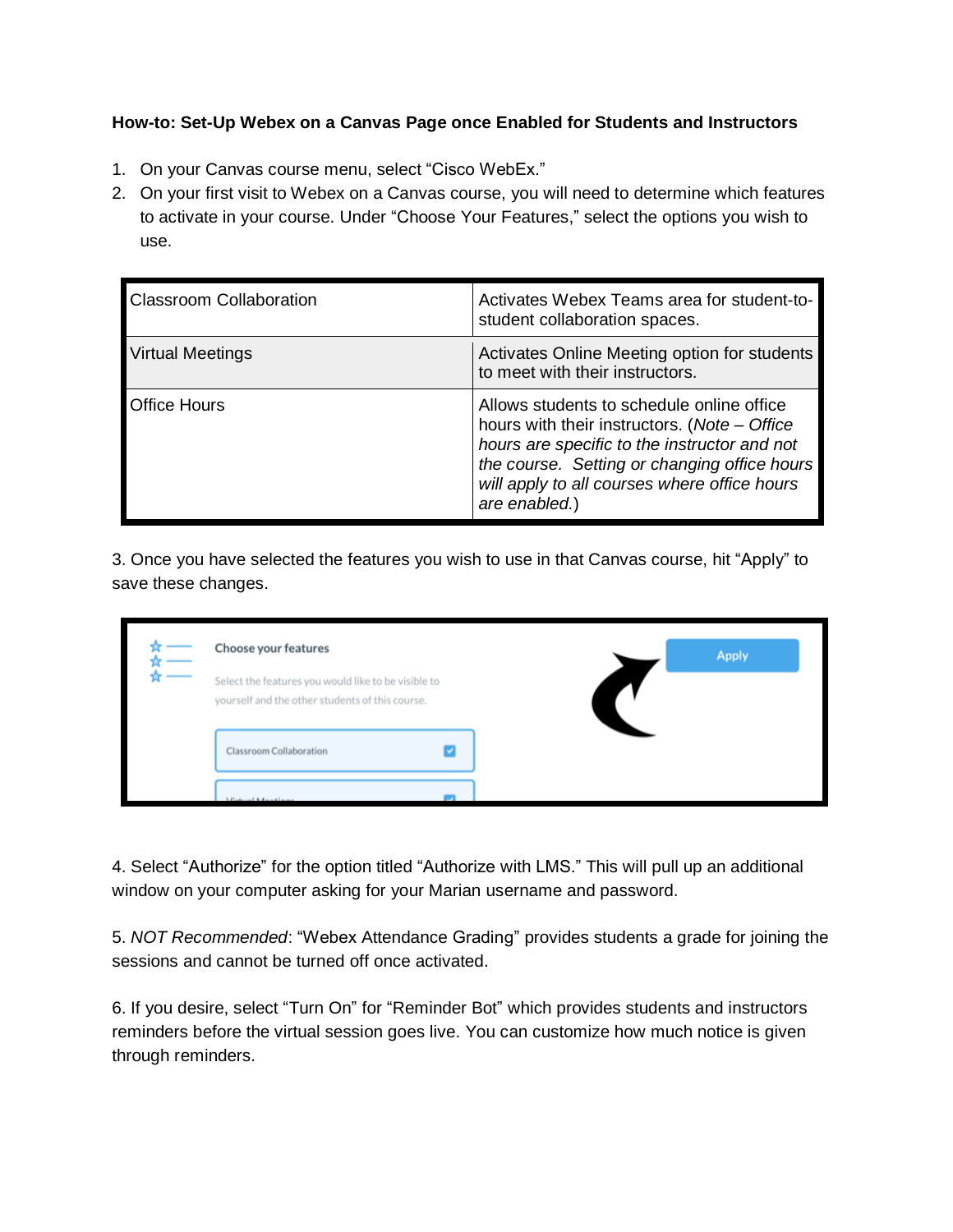### **How-to: Set-Up Webex on a Canvas Page once Enabled for Students and Instructors**

- 1. On your Canvas course menu, select "Cisco WebEx."
- 2. On your first visit to Webex on a Canvas course, you will need to determine which features to activate in your course. Under "Choose Your Features," select the options you wish to use.

| <b>Classroom Collaboration</b> | Activates Webex Teams area for student-to-<br>student collaboration spaces.                                                                                                                                                                                |
|--------------------------------|------------------------------------------------------------------------------------------------------------------------------------------------------------------------------------------------------------------------------------------------------------|
| <b>Virtual Meetings</b>        | Activates Online Meeting option for students<br>to meet with their instructors.                                                                                                                                                                            |
| <b>IOffice Hours</b>           | Allows students to schedule online office<br>hours with their instructors. (Note - Office<br>hours are specific to the instructor and not<br>the course. Setting or changing office hours<br>will apply to all courses where office hours<br>are enabled.) |

3. Once you have selected the features you wish to use in that Canvas course, hit "Apply" to save these changes.

| Choose your features<br>Select the features you would like to be visible to<br>yourself and the other students of this course. |  |
|--------------------------------------------------------------------------------------------------------------------------------|--|
| Classroom Collaboration                                                                                                        |  |
| $-184 - -1$                                                                                                                    |  |

4. Select "Authorize" for the option titled "Authorize with LMS." This will pull up an additional window on your computer asking for your Marian username and password.

5. *NOT Recommended*: "Webex Attendance Grading" provides students a grade for joining the sessions and cannot be turned off once activated.

6. If you desire, select "Turn On" for "Reminder Bot" which provides students and instructors reminders before the virtual session goes live. You can customize how much notice is given through reminders.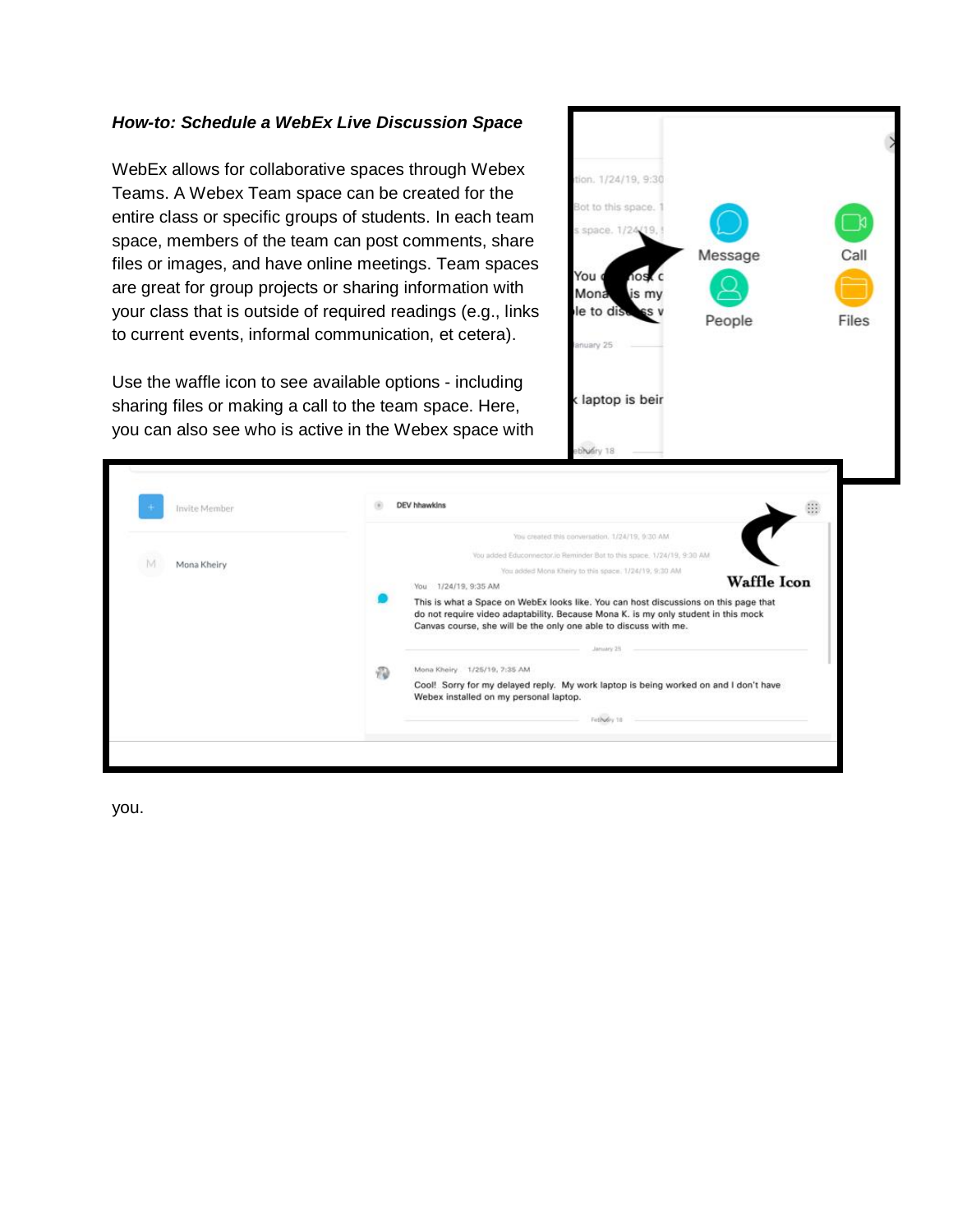# *How-to: Schedule a WebEx Live Discussion Space*

WebEx allows for collaborative spaces through Webex Teams. A Webex Team space can be created for the entire class or specific groups of students. In each team space, members of the team can post comments, share files or images, and have online meetings. Team spaces are great for group projects or sharing information with your class that is outside of required readings (e.g., links to current events, informal communication, et cetera).

Use the waffle icon to see available options - including sharing files or making a call to the team space. Here, you can also see who is active in the Webex space with



| Invite Member | DEV hhawkins                                                                                                                                                         | $\frac{1}{2}$      |
|---------------|----------------------------------------------------------------------------------------------------------------------------------------------------------------------|--------------------|
|               | You created this conversation, 1/24/19, 9:30 AM                                                                                                                      |                    |
| M             | You added Educonnector.io Reminder Bot to this space, 1/24/19, 9:30 AM.                                                                                              |                    |
| Mona Kheiry   | You added Mona Kheiry to this space, 1/24/19, 9:30 AM                                                                                                                |                    |
|               | 1/24/19, 9:35 AM<br>You                                                                                                                                              | <b>Waffle Icon</b> |
|               | do not require video adaptability. Because Mona K. is my only student in this mock<br>Canvas course, she will be the only one able to discuss with me.<br>January 24 |                    |
|               | Mona Kheiry 1/25/19, 7:35 AM<br>Ð                                                                                                                                    |                    |
|               | Cool! Sorry for my delayed reply. My work laptop is being worked on and I don't have<br>Webex installed on my personal laptop.                                       |                    |
|               |                                                                                                                                                                      |                    |

you.